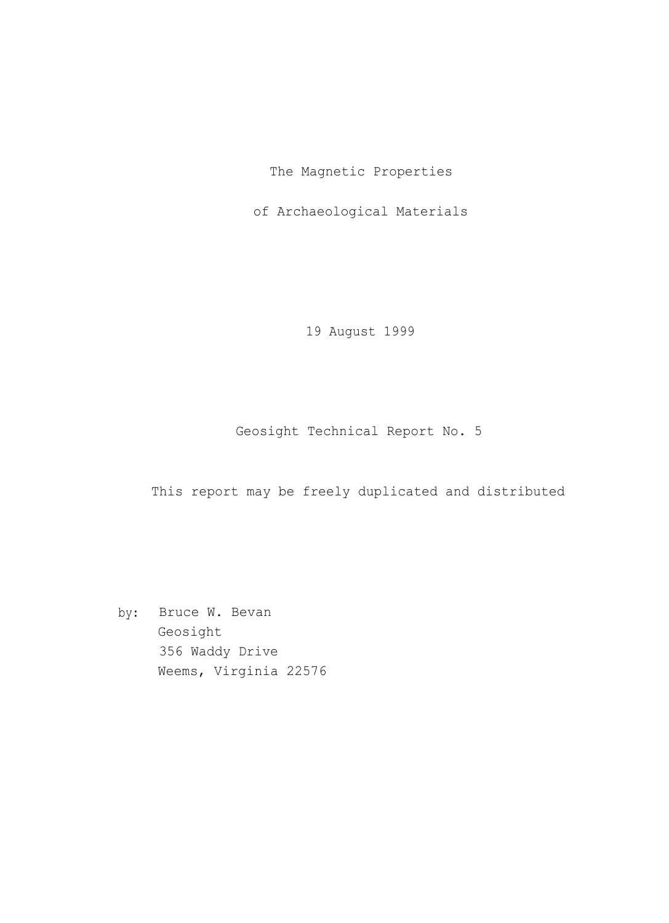The Magnetic Properties

of Archaeological Materials

19 August 1999

Geosight Technical Report No. 5

This report may be freely duplicated and distributed

by: Bruce W. Bevan Geosight 356 Waddy Drive Weems, Virginia 22576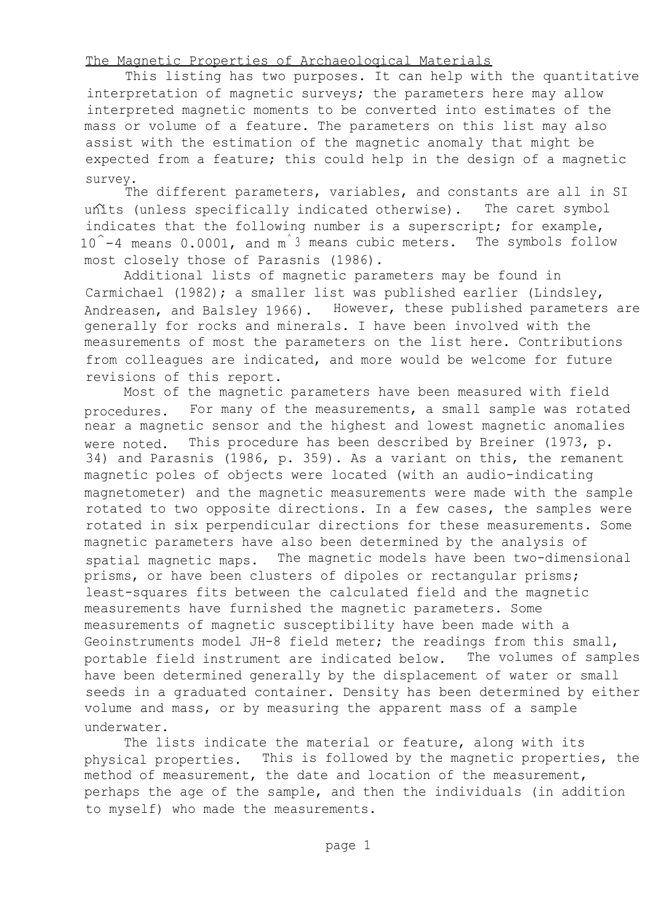## The Magnetic Properties of Archaeoloqical Materials

This listing has two purposes. It can help with the quantitative interpretation of magnetic surveys; the parameters here may allow interpreted magnetic moments to be converted into estimates of the mass or volume of a feature. The parameters on this list may also assist with the estimation of the magnetic anomaly that might be expected from a feature; this could help in the design of a magnetic survey.

The different parameters, variables, and constants are all in SI units (unless specifically indicated otherwise). The caret symbol indicates that the following number is a superscript; for example, 10^-4 means 0.0001, and m<sup>^3</sup> means cubic meters. The symbols follow most closely those of Parasnis (1986).

Additional lists of magnetic parameters may be found in Carmichael (1982); a smaller list was published earlier (Lindsley, Andreasen, and Balsley 1966). However, these published parameters are generally for rocks and minerals. I have been involved with the measurements of most the parameters on the list here. Contributions from colleagues are indicated, and more would be welcome for future revisions of this report.

Most of the magnetic parameters have been measured with field procedures. For many of the measurements, a small sample was rotated near a magnetic sensor and the highest and lowest magnetic anomalies were noted. This procedure has been described by Breiner (1973, p. 34) and Parasnis (1986, p. 359). As a variant on this, the remanent magnetic poles of objects were located (with an audio-indicating magnetometer) and the magnetic measurements were made with the sample rotated to two opposite directions. In a few cases, the samples were rotated in six perpendicular directions for these measurements. Some magnetic parameters have also been determined by the analysis of spatial magnetic maps. The magnetic models have been two-dimensional prisms, or have been clusters of dipoles or rectangular prisms; least-squares fits between the calculated field and the magnetic measurements have furnished the magnetic parameters. Some measurements of magnetic susceptibility have been made with a Geoinstruments model JH-8 field meter; the readings from this small, portable field instrument are indicated below. The volumes of samples have been determined generally by the displacement of water or small seeds in a graduated container. Density has been determined by either volume and mass, or by measuring the apparent mass of a sample underwater.

The lists indicate the material or feature, along with its physical properties. This is followed by the magnetic properties, the method of measurement, the date and location of the measurement, perhaps the age of the sample, and then the individuals (in addition to myself) who made the measurements.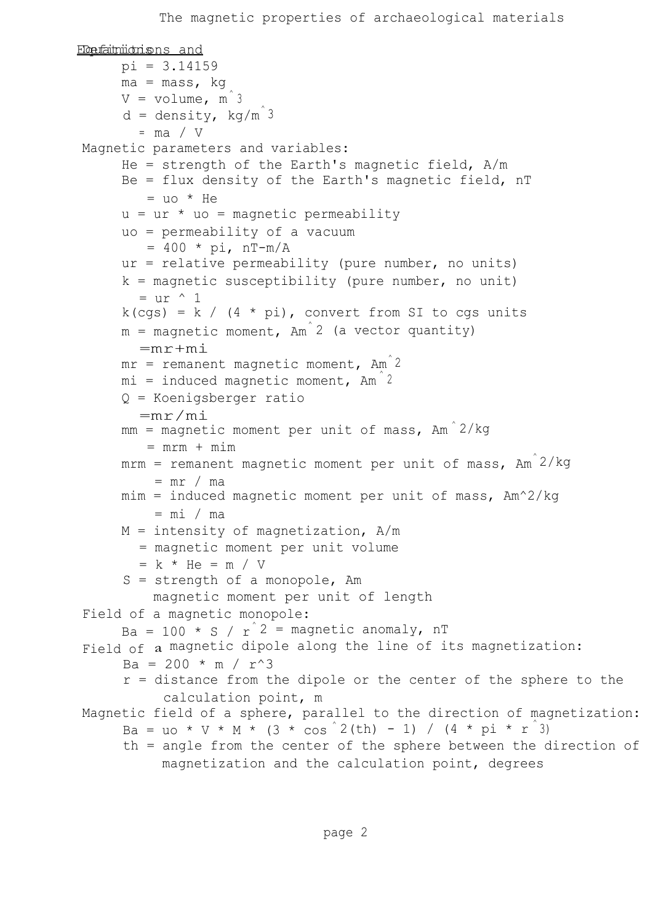```
Eletationidrishs and
     pi = 3.14159
     ma = mass, kg
     V = volume, m<sup>2</sup>d = density, kg/m^3= ma / V
Magnetic parameters and variables:
     He = strength of the Earth's magnetic field, A/mBe = flux density of the Earth's magnetic field, nT
        = uo * He
     u = ur * uo = magnetic permeability
     uo = permeability of a vacuum
        = 400 * pi, nT-m/A
     ur = relative permeability (pure number, no units)
     k = magnetic susceptibility (pure number, no unit)
       = ur \land 1
     k(cqs) = k / (4 * pi), convert from SI to cgs units
     m = magnetic moment, Am 2 (a vector quantity)
       =mr+mi
     mr = remanent magnetic moment, Am<sup>2</sup>mi = induced magnetic moment, Am<sup>2</sup>Q = Koenigsberger ratio
       =mr/mi
     mm = magnetic moment per unit of mass, Am<sup>2</sup>/kg= mrm + minmrm = remanent magnetic moment per unit of mass, Am^2/kg= mr / mamim = induced magnetic moment per unit of mass, Am^2/kg= mi / ma
     M = intensity of magnetization, A/m= magnetic moment per unit volume
       = k * He = m / VS = strength of a monopole, Am
         magnetic moment per unit of length
Field of a magnetic monopole:
     Ba = 100 * S / r^2 = magnetic anomaly, nT
Field of a magnetic dipole along the line of its magnetization:
     Ba = 200 * m / r^3r = distance from the dipole or the center of the sphere to the
           calculation point, m
Magnetic field of a sphere, parallel to the direction of magnetization:
      Ba = uo * V * M * (3 * cos 2(th) - 1) / (4 * pi * r 3)th = angle from the center of the sphere between the direction of
          magnetization and the calculation point, degrees
```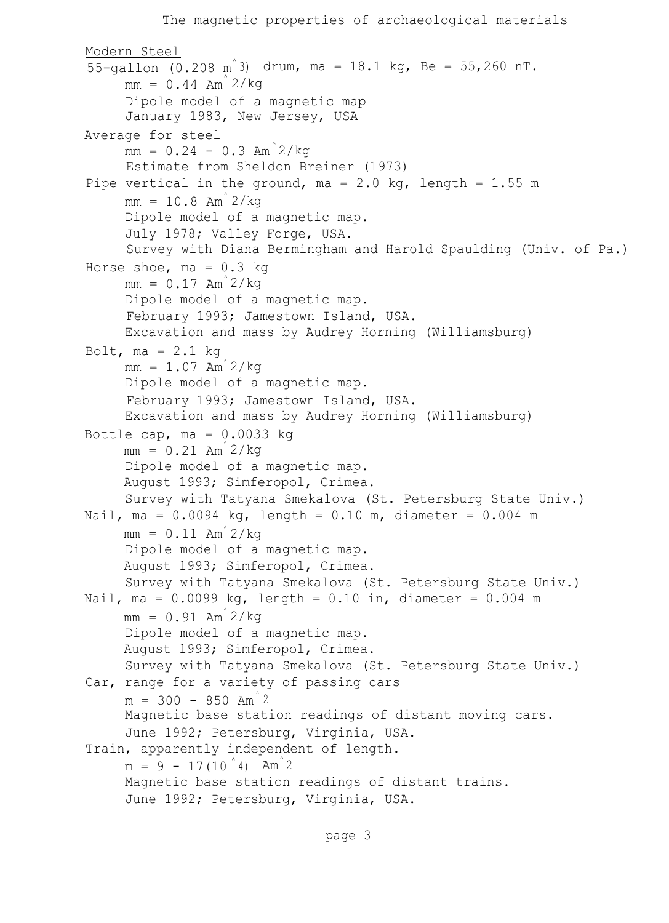```
The magnetic properties of archaeological materials
Modern Steel
55-gallon (0.208 \text{ m}^3) drum, ma = 18.1 kg, Be = 55,260 nT.
     mm = 0.44 Am<sup>2</sup>/kg
     Dipole model of a magnetic map
     January 1983, New Jersey, USA
Average for steel
     mm = 0.24 - 0.3 Am<sup>2</sup>/kg
     Estimate from Sheldon Breiner (1973)
Pipe vertical in the ground, ma = 2.0 kg, length = 1.55 m
     mm = 10.8 Am<sup>2</sup>/kg
     Dipole model of a magnetic map.
     July 1978; Valley Forge, USA.
     Survey with Diana Bermingham and Harold Spaulding (Univ. of Pa.)
Horse shoe, ma = 0.3 kg
     mm = 0.17 Am<sup>2</sup>/kg
     Dipole model of a magnetic map.
     February 1993; Jamestown Island, USA.
     Excavation and mass by Audrey Horning (Williamsburg)
Bolt, ma = 2.1 kg
     mm = 1.07 Am<sup>2</sup>/kg
     Dipole model of a magnetic map.
     February 1993; Jamestown Island, USA.
     Excavation and mass by Audrey Horning (Williamsburg)
Bottle cap, ma = 0.0033 kg
     mm = 0.21 Am<sup>2</sup>/kg
     Dipole model of a magnetic map.
     August 1993; Simferopol, Crimea.
     Survey with Tatyana Smekalova (St. Petersburg State Univ.)
Nail, ma = 0.0094 kg, length = 0.10 m, diameter = 0.004 m
     mm = 0.11 Am<sup>2</sup>/kg
     Dipole model of a magnetic map.
     August 1993; Simferopol, Crimea.
     Survey with Tatyana Smekalova (St. Petersburg State Univ.)
Nail, ma = 0.0099 kg, length = 0.10 in, diameter = 0.004 m
     mm = 0.91 Am<sup>2</sup>/kg
     Dipole model of a magnetic map.
     August 1993; Simferopol, Crimea.
     Survey with Tatyana Smekalova (St. Petersburg State Univ.)
Car, range for a variety of passing cars
     m = 300 - 850 Am<sup>2</sup>
     Magnetic base station readings of distant moving cars.
     June 1992; Petersburg, Virginia, USA.
Train, apparently independent of length.
     m = 9 - 17(10^4) Am<sup>2</sup>
     Magnetic base station readings of distant trains.
     June 1992; Petersburg, Virginia, USA.
```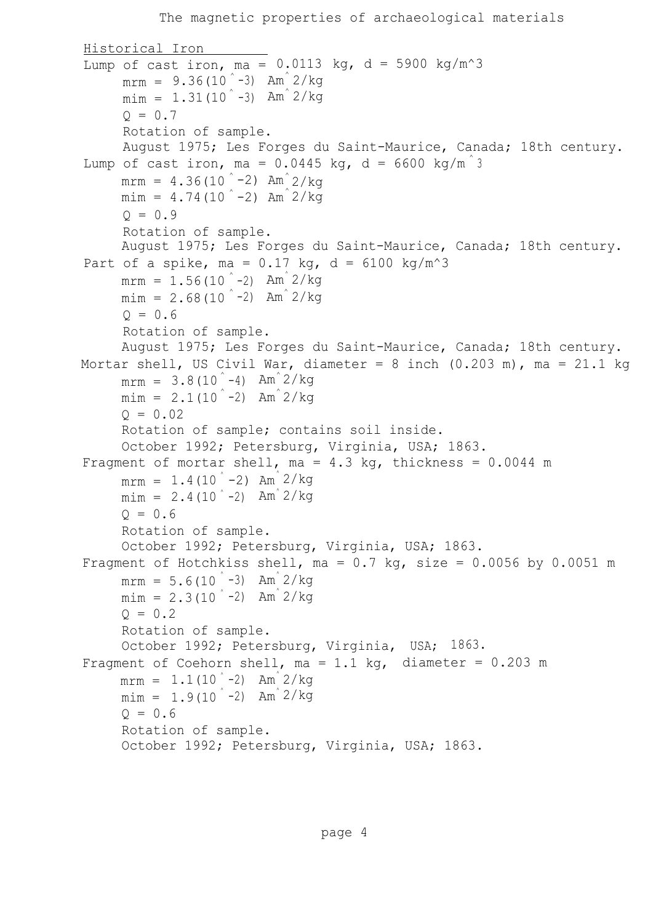```
Historical Iron
Lump of cast iron, ma = 0.0113 kg, d = 5900 kg/m<sup>2</sup>3
      m \text{mm} = 9.36(10^{\degree} - 3) Am<sup>3</sup> 2/kg
      min = 1.31(10<sup>°</sup> - 3) Am<sup>3</sup>/kg
      Q = 0.7Rotation of sample.
      August 1975; Les Forges du Saint-Maurice, Canada; 18th century.
Lump of cast iron, ma = 0.0445 kg, d = 6600 kg/m<sup>3</sup>
      mrm = 4.36(10<sup>°</sup> - 2) Am^{°}2/kg
      min = 4.74(10<sup>2</sup> - 2) Am<sup>2</sup>/kgQ = 0.9Rotation of sample.
      August 1975; Les Forges du Saint-Maurice, Canada; 18th century.
Part of a spike, ma = 0.17 kg, d = 6100 kg/m<sup>2</sup>3
      mrm = 1.56(10^{\degree} - 2) Am<sup>\degree</sup> 2/kg
      min = 2.68(10<sup>2</sup> - 2) Am<sup>2</sup>/kg
      Q = 0.6Rotation of sample.
      August 1975; Les Forges du Saint-Maurice, Canada; 18th century.
Mortar shell, US Civil War, diameter = 8 inch (0.203 \text{ m}), ma = 21.1 kg
      m \text{mm} = 3.8(10^{\degree} - 4) Am<sup>\degree</sup>2/kg
      min = 2.1(10<sup>°</sup> - 2) Am<sup>2/kg</sup>
      Q = 0.02Rotation of sample; contains soil inside.
      October 1992; Petersburg, Virginia, USA; 1863.
Fragment of mortar shell, ma = 4.3 kg, thickness = 0.0044 m
      mrm = 1.4(10<sup>°</sup> - 2) Am<sup>3</sup> 2/kg
      min = 2.4(10<sup>°</sup> - 2) Am<sup>3</sup>/kg
      Q = 0.6Rotation of sample.
      October 1992; Petersburg, Virginia, USA; 1863.
Fragment of Hotchkiss shell, ma = 0.7 kg, size = 0.0056 by 0.0051 m
      mrm = 5.6(10<sup>°</sup> - 3) Am<sup>3</sup> 2/kg
      min = 2.3(10<sup>2</sup> - 2) Am<sup>2</sup>/kg
      Q = 0.2Rotation of sample.
      October 1992; Petersburg, Virginia, USA; 1863.
Fragment of Coehorn shell, ma = 1.1 kg, diameter = 0.203 m
      mrm = 1.1(10<sup>°</sup> - 2) Am<sup>3</sup> 2/kg
      min = 1.9(10^{\degree} - 2) Am<sup>\degree 2/kg</sup>
      Q = 0.6Rotation of sample.
      October 1992; Petersburg, Virginia, USA; 1863.
```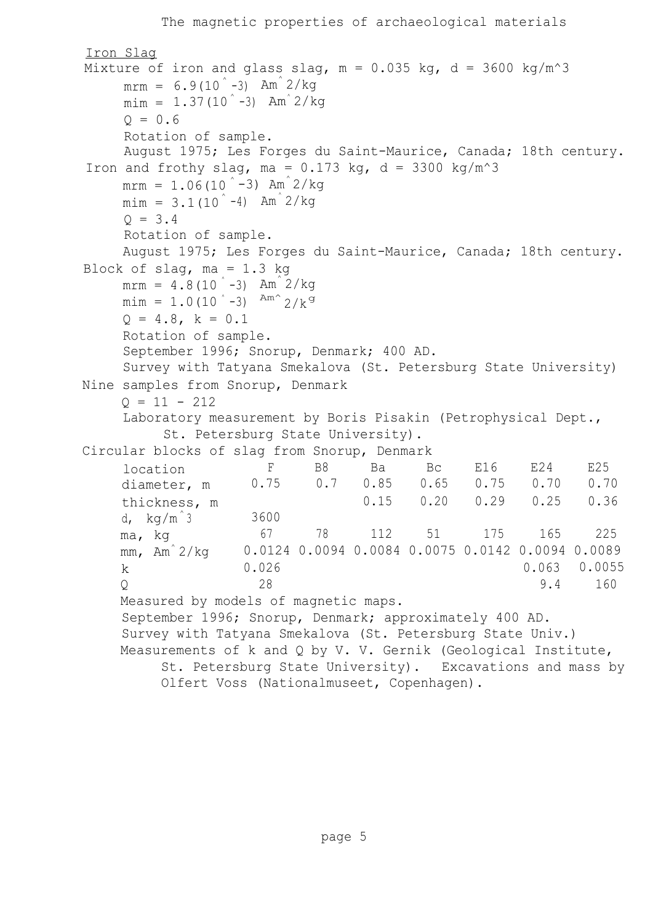```
The magnetic properties of archaeological materials
Iron Slag
Mixture of iron and glass slag, m = 0.035 kg, d = 3600 kg/m<sup>2</sup>3
     m \text{ cm} = 6.9(10^{\degree} - 3) Am<sup>\degree</sup> 2/kg
     min = 1.37(10<sup>°</sup> - 3) Am<sup>3</sup>/kg
     0 = 0.6Rotation of sample.
     August 1975; Les Forges du Saint-Maurice, Canada; 18th century.
Iron and frothy slag, ma = 0.173 kg, d = 3300 kg/m<sup>2</sup>3
     mrm = 1.06(10<sup>°</sup> - 3) Am<sup>3</sup> 2/kg
     min = 3.1(10<sup>2</sup> - 4) Am 2/kgQ = 3.4Rotation of sample.
     August 1975; Les Forges du Saint-Maurice, Canada; 18th century.
Block of slag, ma = 1.3 kg
     mrm = 4.8(10<sup>°</sup> - 3) Am<sup>3</sup> 2/kg
     \text{min} = 1.0(10 \degree -3) Am<sup>o</sup> 2/k<sup>g</sup>
     Q = 4.8, k = 0.1Rotation of sample.
     September 1996; Snorup, Denmark; 400 AD.
     Survey with Tatyana Smekalova (St. Petersburg State University)
Nine samples from Snorup, Denmark
     0 = 11 - 212Laboratory measurement by Boris Pisakin (Petrophysical Dept.,
           St. Petersburg State University).
Circular blocks of slag from Snorup, Denmark
     location F B8 Ba Bc E16 E24 E25
     diameter, m 0.75 0.7 0.85 0.65 0.75 0.70 0.70
     thickness, m 0.15 0.20 0.29 0.25 0.36
     d, kg/m^3 3600
     ma, kg 67 78 112 51 175 165 225
     mm, Am^ 2/kg 0.0124 0.0094 0.0084 0.0075 0.0142 0.0094 0.0089
     k 0.026 0.063 0.0055 0.0055 0.0055 0.0055 0.0055 0.0055 0.0055 0.0055 0.0055 0.0055 0.0055 0.0055 0.005 0.005 0.005 0.005 0.005 0.005 0.005 0.005 0.005 0.005 0.005 0.005 0.005 0.005 0.005 0.005 0.005 0.005 0.005 0.005 0.00
     Q 28 28 9.4 160
     Measured by models of magnetic maps.
     September 1996; Snorup, Denmark; approximately 400 AD.
     Survey with Tatyana Smekalova (St. Petersburg State Univ.)
     Measurements of k and Q by V. V. Gernik (Geological Institute,
           St. Petersburg State University). Excavations and mass by
           Olfert Voss (Nationalmuseet, Copenhagen).
```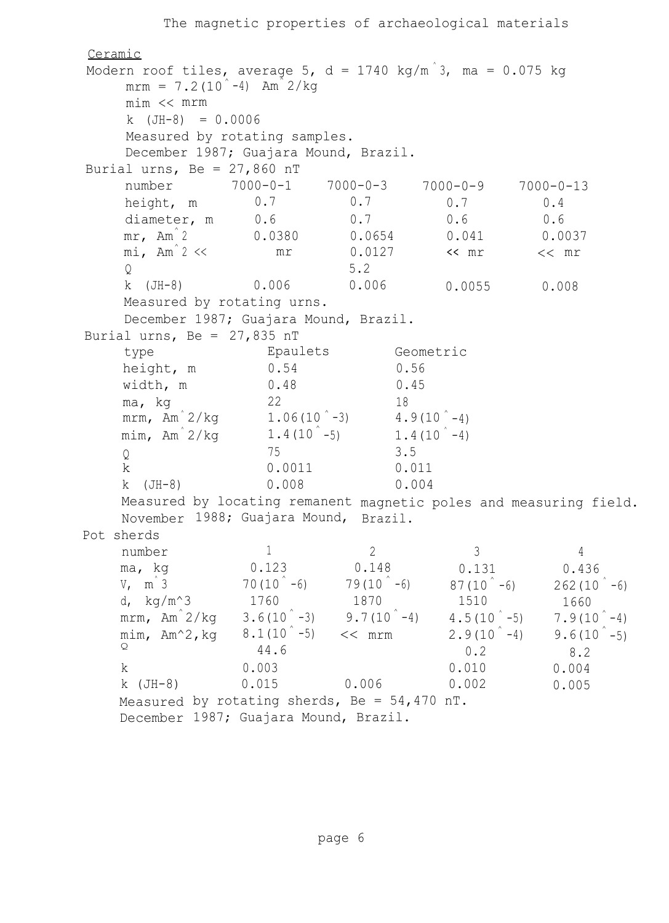```
The magnetic properties of archaeological materials
Ceramic
Modern roof tiles, average 5, d = 1740 kg/m<sup>3</sup>, ma = 0.075 kg
    mrm = 7.2(10<sup>2</sup> - 4) Am<sup>2</sup> 2/kg
     mim << mrm
    k (JH-8) = 0.0006
     Measured by rotating samples.
     December 1987; Guajara Mound, Brazil.
Burial urns, Be = 27,860 nT
    number 7000-0-1 7000-0-3 7000-0-9
    height, m 0.7 0.7 0.7
    diameter, m 0.6 0.7 0.6
    mr, Am<sup>^</sup> 2 0.0380 0.0654 0.041
    mi, Am^2 << m r mr 0.0127 << mr
     \Omega 5.2
    k (JH-8) 0.006 0.006 0.0055
    Measured by rotating urns.
    December 1987; Guajara Mound, Brazil.
                                                   7000-0-13
                                                      0.4
                                                      0.6
                                                     0.0037
                                                     << mr
                                                     0.008
Burial urns, Be = 27,835 nT
    type Epaulets Geometric
    height, m 0.54 0.56
    width, m 0.48 0.45
    ma, kg 22 18
    mrm, Am<sup>\hat{2}/kq 1.06(10 -3) 4.9(10 -4)</sup>
    mim, Am^2/kq 1.4(10 -5)
                                    1.4(10<sup>°</sup> - 4)Q 3.5
    k 0.0011 0.011
    k (JH-8) 0.008 0.004
    Measured by locating remanent
magnetic poles and measuring field.
    November 1988; Guajara Mound, Brazil.
Pot sherds
    number
    ma, kg
    V, m<sup>2</sup> 3
    d, kg/m^3mrm, Am^ 2/kg
    mim, Am^2,kg
    Q
    k
    k (JH-8)
    Measured
by rotating sherds, Be = 54,470 nT.
    December
1987; Guajara Mound, Brazil.
                     1
                  0.123
                  70(10^{\degree} - 6)1760
                  3.6(10^{\degree} - 3)8.1(10^{\degree}-5)44.6
                  0.003
                  0.015
                                 2
                              0.148
                               79(10^{\degree} - 6)1870
                             9.7(10^{\degree}-4)<< mrm
                                              3
                                            0.131
                                           87(10^{\degree} - 6)1510
                                           4.5(10^{\degree} - 5)2.9(10^{\degree} - 4)0.2
                                           0.010
                               0.002
0.006 0.005
                                                          4
                                                        0.436
                                                       262(10 - 6)1660
                                                       7.9(10^{\degree} - 4)9.6(10<sup>^{\circ}</sup>-5)
                                                         8.2
                                                       0.004
```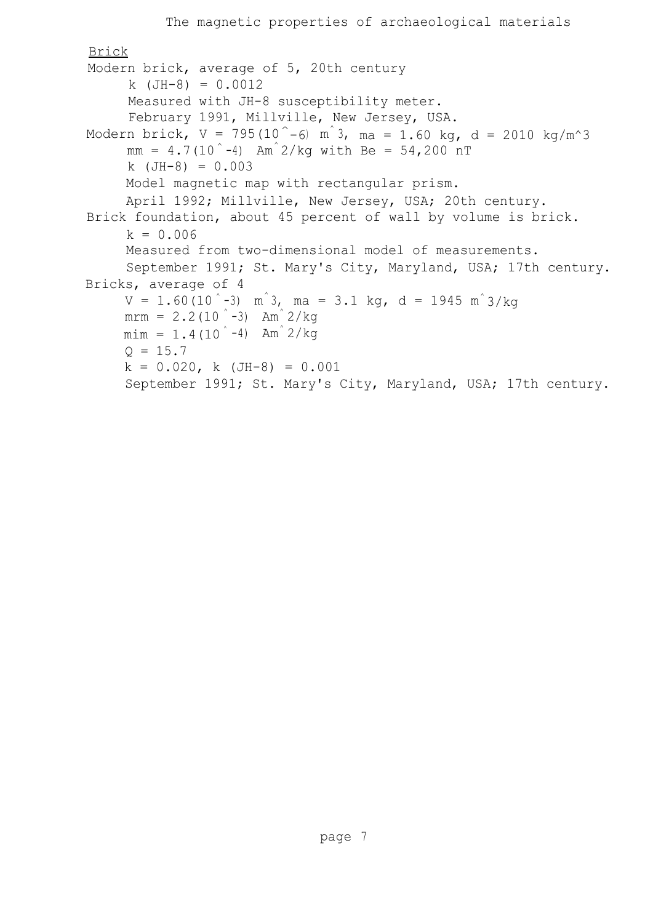```
The magnetic properties of archaeological materials
Brick
Modern brick, average of 5, 20th century
     k (JH-8) = 0.0012
     Measured with JH-8 susceptibility meter.
     February 1991, Millville, New Jersey, USA.
Modern brick, V = 795(10^
-6) m
^ 3, ma = 1.60 kg, d = 2010 kg/m^3
     mm = 4.7(10^{\degree}-4) Am<sup>\degree</sup>2/kg with Be = 54,200 nT
     k (JH-8) = 0.003
     Model magnetic map with rectangular prism.
     April 1992; Millville, New Jersey, USA; 20th century.
Brick foundation, about 45 percent of wall by volume is brick.
     k = 0.006Measured from two-dimensional model of measurements.
     September 1991; St. Mary's City, Maryland, USA; 17th century.
Bricks, average of 4
     V = 1.60(10^-3) m^3, ma = 3.1 kg, d = 1945 m^3/kg
     mrm = 2.2(10<sup>°</sup> - 3) Am<sup>\alpha</sup> 2/kg
     min = 1.4(10<sup>4</sup> - 4) Am<sup>2</sup>/kg
     Q = 15.7k = 0.020, k (JH-8) = 0.001
     September 1991; St. Mary's City, Maryland, USA; 17th century.
```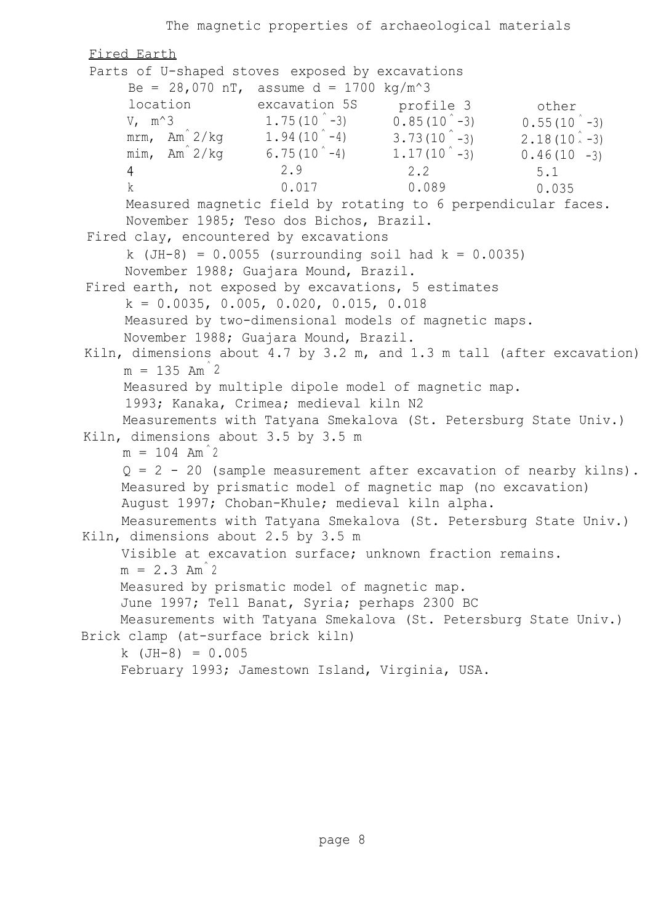The magnetic properties of archaeological materials Fired Earth Parts of U-shaped stoves exposed by excavations Be = 28,070 nT, assume  $d = 1700 \text{ kg/m}^3$ location excavation 5S profile 3 other V,  $m^3$  1.75(10  $^{\circ}$  -3) 0.85(10  $^{\circ}$  -3) 0.55(10  $^{\circ}$  -3) mrm, Am $\hat{}$  2/kg  $1.94\,(10\degree$  -4)  $3.73\,(10\degree$  $-3$ ) 2.18(10<sup>2</sup> -3) mim, Am $^{2}/\text{kg}$  6.75(10^-4) 1.17(10^-3) 0.46(10  $0.46(10 - 3)$ 4 2.9 2.2 5.1 k 0.017 0.089 0.035 Measured magnetic field by rotating to 6 perpendicular faces. November 1985; Teso dos Bichos, Brazil. Fired clay, encountered by excavations k (JH-8) = 0.0055 (surrounding soil had k = 0.0035) November 1988; Guajara Mound, Brazil. Fired earth, not exposed by excavations, 5 estimates  $k = 0.0035, 0.005, 0.020, 0.015, 0.018$ Measured by two-dimensional models of magnetic maps. November 1988; Guajara Mound, Brazil. Kiln, dimensions about 4.7 by 3.2 m, and 1.3 m tall (after excavation)  $m = 135$  Am<sup>2</sup> Measured by multiple dipole model of magnetic map. 1993; Kanaka, Crimea; medieval kiln N2 Measurements with Tatyana Smekalova (St. Petersburg State Univ.) Kiln, dimensions about 3.5 by 3.5 m  $m = 104$  Am<sup>2</sup>  $Q = 2 - 20$  (sample measurement after excavation of nearby kilns). Measured by prismatic model of magnetic map (no excavation) August 1997; Choban-Khule; medieval kiln alpha. Measurements with Tatyana Smekalova (St. Petersburg State Univ.) Kiln, dimensions about 2.5 by 3.5 m Visible at excavation surface; unknown fraction remains.  $m = 2.3$  Am<sup>2</sup> Measured by prismatic model of magnetic map. June 1997; Tell Banat, Syria; perhaps 2300 BC Measurements with Tatyana Smekalova (St. Petersburg State Univ.) Brick clamp (at-surface brick kiln) k (JH-8) = 0.005 February 1993; Jamestown Island, Virginia, USA.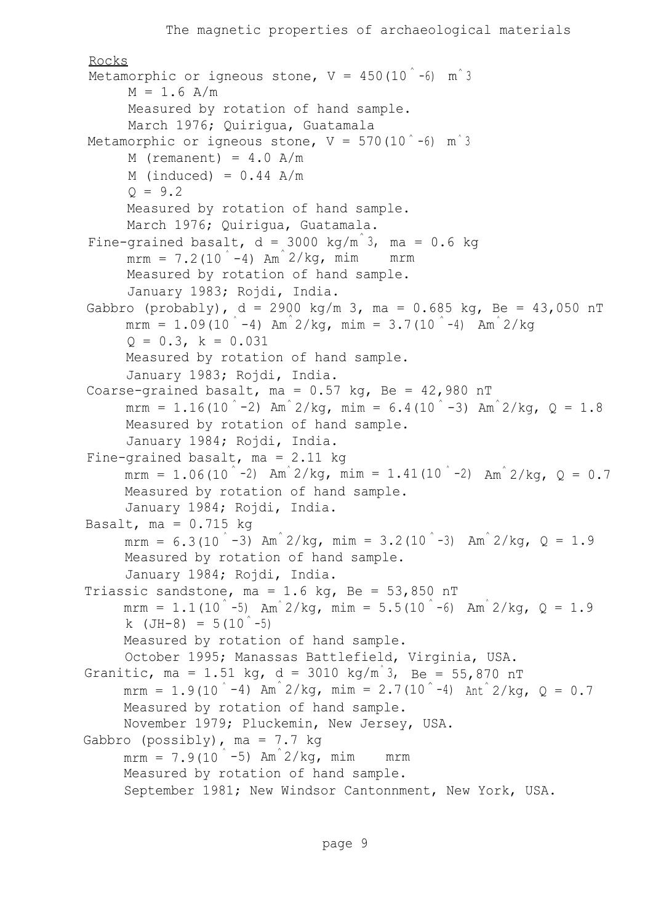```
Rocks
 Metamorphic or igneous stone, V = 450(10^{\degree}-6) m^{\degree}3M = 1.6 A/m
      Measured by rotation of hand sample.
      March 1976; Quirigua, Guatamala
Metamorphic or igneous stone, V = 570(10^-6) m^3
      M (remanent) = 4.0 A/m
      M (induced) = 0.44 A/m
      Q = 9.2Measured by rotation of hand sample.
      March 1976; Quirigua, Guatamala.
Fine-grained basalt, d = 3000 kg/m<sup>3</sup>, ma = 0.6 kg
      mrm = 7.2(10<sup>°</sup> - 4) Am<sup>^</sup> 2/kg, mim mrm
      Measured by rotation of hand sample.
      January 1983; Rojdi, India.
Gabbro (probably), d = 2900 \text{ kg/m } 3, ma = 0.685 kg, Be = 43,050 nT
      \texttt{mrm}~=~1.09(10^-4) Am^2/kg, mim = 3.7(10^-4) Am^2/kg
      Q = 0.3, k = 0.031Measured by rotation of hand sample.
      January 1983; Rojdi, India.
Coarse-grained basalt, ma = 0.57 kg, Be = 42,980 nT
      mrm = 1.16(10<sup>\degree-2) Am\degree 2/kg, mim = 6.4(10\degree-3) Am\degree 2/kg, Q = 1.8</sup>
      Measured by rotation of hand sample.
      January 1984; Rojdi, India.
Fine-grained basalt, ma = 2.11 kg
      mrm = 1.06(10<sup>\degree-2) Am\degree 2/kg, mim = 1.41(10\degree-2) Am\degree 2/kg, Q = 0.7</sup>
      Measured by rotation of hand sample.
      January 1984; Rojdi, India.
Basalt, ma = 0.715 kg
      mrm = 6.3(10 - 3) Am<sup>2</sup>/kg, mim = 3.2(10 - 3) Am<sup>2</sup>/kg, Q = 1.9
      Measured by rotation of hand sample.
      January 1984; Rojdi, India.
Triassic sandstone, ma = 1.6 kg, Be = 53,850 nT
      mrm = 1.1(10<sup>\degree</sup>-5) Am<sup>\degree</sup>2/kg, mim = 5.5(10<sup>\degree</sup>-6) Am<sup>\degree</sup>2/kg, Q = 1.9
      k (JH-8) = 5(10^{\degree}-5)Measured by rotation of hand sample.
      October 1995; Manassas Battlefield, Virginia, USA.
Granitic, ma = 1.51 kg, d = 3010 kg/m<sup>3</sup>, Be = 55,870 nT
     mrm = 1.9(10 ^{\circ} -4) Am^{\circ} 2/kg, mim = 2.7(10 ^{\circ} -4) Ant ^{\circ} 2/kg, Q = 0.7
      Measured by rotation of hand sample.
      November 1979; Pluckemin, New Jersey, USA.
Gabbro (possibly), ma = 7.7 kg
      mrm = 7.9(10<sup>°</sup> - 5) Am<sup>2/kg</sup>, mim mrm
      Measured by rotation of hand sample.
      September 1981; New Windsor Cantonnment, New York, USA.
```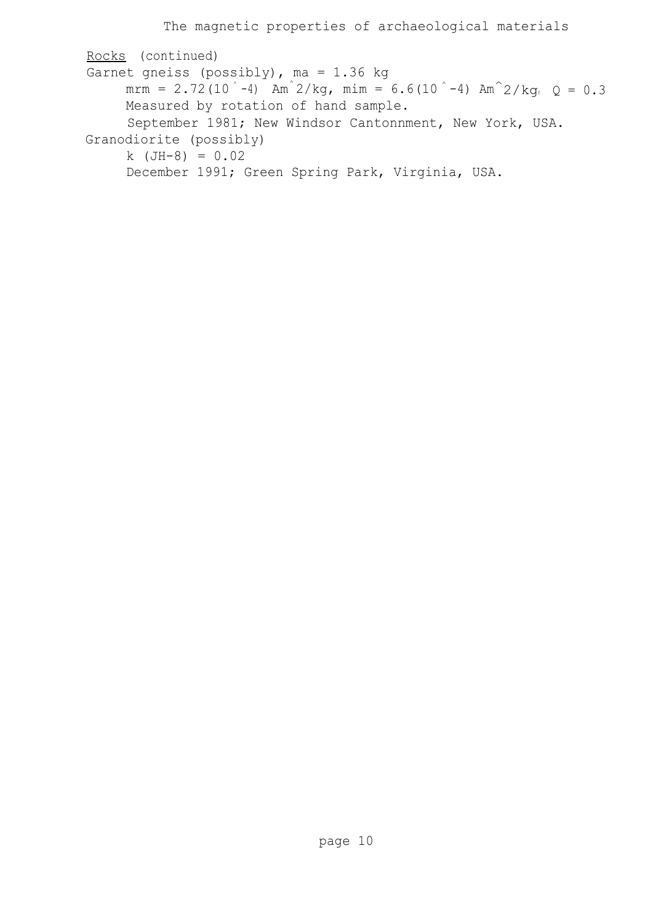Rocks (continued) Garnet gneiss (possibly), ma = 1.36 kg mrm = 2.72(10<sup> $\degree$ </sup>-4) Am<sup> $\degree$ </sup>2/kg, mim = 6.6(10 $\degree$ -4) Am $\degree$ 2/kg, Q = 0.3 Measured by rotation of hand sample. September 1981; New Windsor Cantonnment, New York, USA. Granodiorite (possibly) k (JH-8) = 0.02 December 1991; Green Spring Park, Virginia, USA.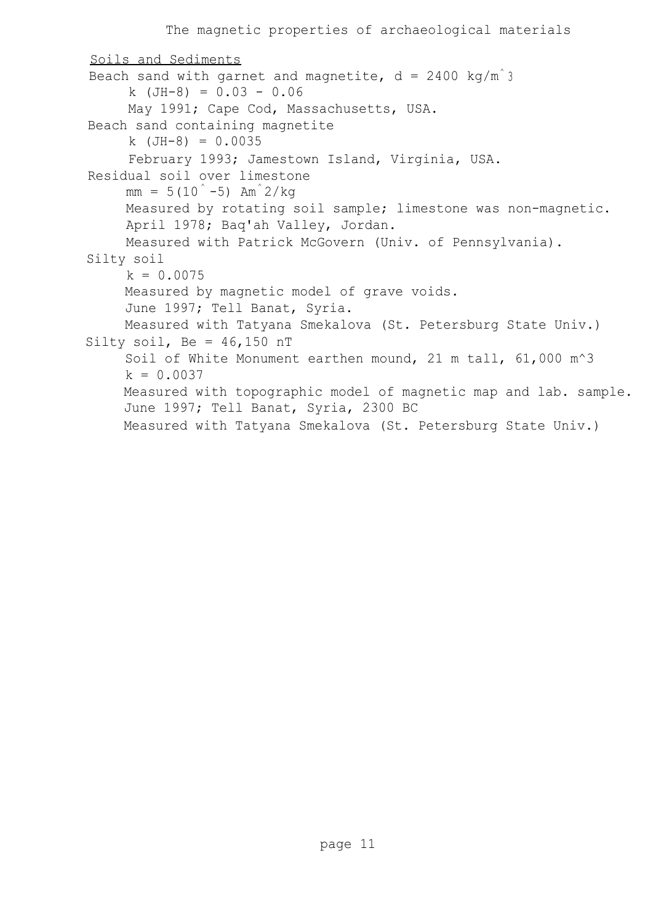```
Soils and Sediments
Beach sand with garnet and magnetite, d = 2400 kg/m<sup>3</sup>
     k (JH-8) = 0.03 - 0.06
     May 1991; Cape Cod, Massachusetts, USA.
Beach sand containing magnetite
     k (JH-8) = 0.0035
     February 1993; Jamestown Island, Virginia, USA.
Residual soil over limestone
     mm = 5(10^{\degree} - 5) Am<sup>\degree</sup>2/kg
     Measured by rotating soil sample; limestone was non-magnetic.
     April 1978; Baq'ah Valley, Jordan.
     Measured with Patrick McGovern (Univ. of Pennsylvania).
Silty soil
     k = 0.0075Measured by magnetic model of grave voids.
     June 1997; Tell Banat, Syria.
     Measured with Tatyana Smekalova (St. Petersburg State Univ.)
Silty soil, Be = 46,150 nT
     Soil of White Monument earthen mound, 21 m tall, 61,000 m^3
     k = 0.0037Measured with topographic model of magnetic map and lab. sample.
     June 1997; Tell Banat, Syria, 2300 BC
    Measured with Tatyana Smekalova (St. Petersburg State Univ.)
```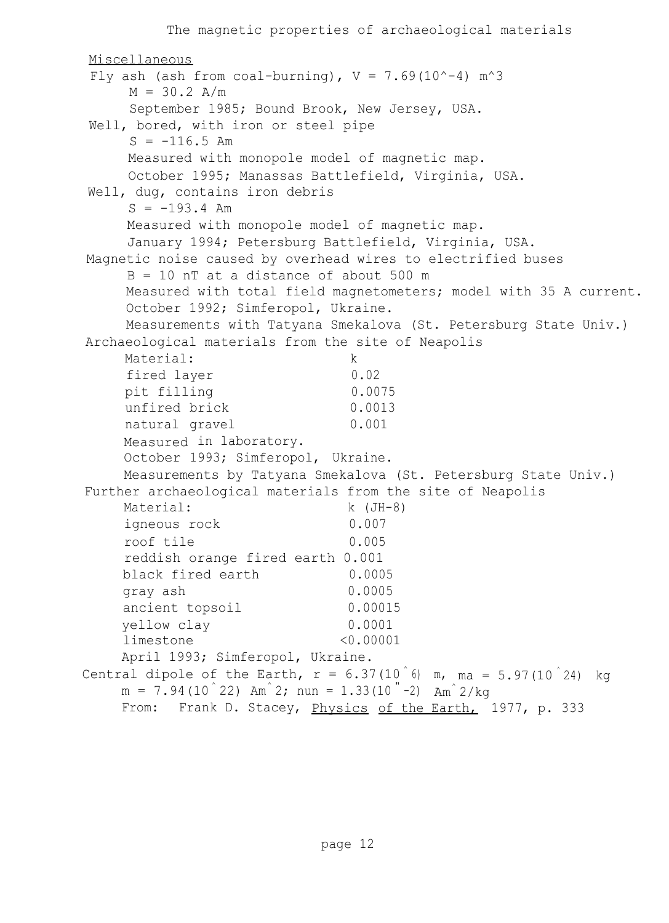Miscellaneous Fly ash (ash from coal-burning),  $V = 7.69(10^{\circ}-4)$  m<sup> $\circ$ </sup>3  $M = 30.2$  A/m September 1985; Bound Brook, New Jersey, USA. Well, bored, with iron or steel pipe  $S = -116.5$  Am Measured with monopole model of magnetic map. October 1995; Manassas Battlefield, Virginia, USA. Well, dug, contains iron debris  $S = -193.4$  Am Measured with monopole model of magnetic map. January 1994; Petersburg Battlefield, Virginia, USA. Magnetic noise caused by overhead wires to electrified buses B = 10 nT at a distance of about 500 m Measured with total field magnetometers; model with 35 A current. October 1992; Simferopol, Ukraine. Measurements with Tatyana Smekalova (St. Petersburg State Univ.) Archaeological materials from the site of Neapolis Material: k fired laver 0.02 pit filling 0.0075 unfired brick 0.0013 natural gravel 0.001 Measured in laboratory. October 1993; Simferopol, Ukraine. Measurements by Tatyana Smekalova (St. Petersburg State Univ.) Further archaeological materials from the site of Neapolis Material: k (JH-8) igneous rock 0.007 roof tile 0.005 reddish orange fired earth 0.001 black fired earth 0.0005 gray ash 0.0005 ancient topsoil 0.00015 yellow clay 0.0001 limestone <0.00001 April 1993; Simferopol, Ukraine. Central dipole of the Earth,  $r = 6.37(10^6)$  m, ma = 5.97(10<sup> $\degree$ 24)</sup> kg  $m = 7.94(10^{\degree}22)$  Am $^{\degree}2$ ; nun = 1.33(10  $^{"}-2$ ) Am $^{\degree}2/\text{kg}$ From: Frank D. Stacey, Physics of the Earth, 1977, p. 333